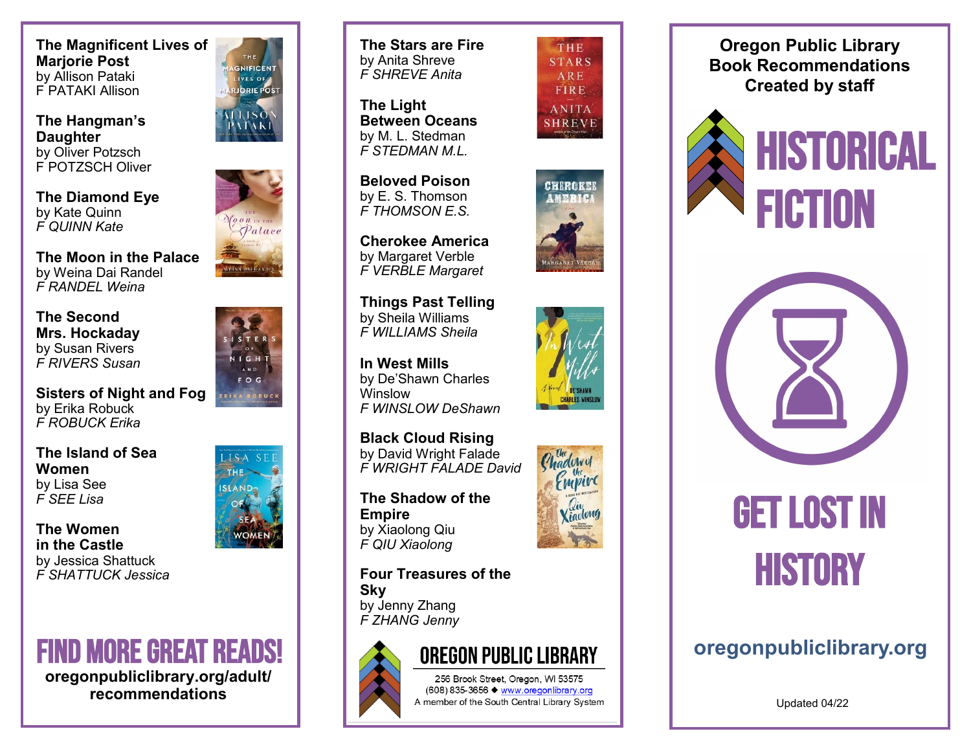**The Magnificent Lives of Marjorie Post** by Allison Pataki F PATAKI Allison

**The Hangman 's Daughter** by Oliver Potzsch F POTZSCH Oliver

**The Diamond Eye** by Kate Quinn *F QUINN Kate*

**The Moon in the Palace** by Weina Dai Randel *F RANDEL Weina*

**The Second Mrs. Hockaday** by Susan Rivers *F RIVERS Susan*

**Sisters of Night and Fog** by Erika Robuck *F ROBUCK Erika*

**The Island of Sea Women** by Lisa See *F SEE Lisa*

**The Women in the Castle** by Jessica Shattuck *F SHATTUCK Jessica* 







**The Stars are Fire** by Anita Shreve *F SHREVE Anita* 

**The Light Between Oceans** by M. L. Stedman *F STEDMAN M.L.*

**Beloved Poison** by E. S. Thomson *F THOMSON E.S.*

**Cherokee America** by Margaret Verble *F VERBLE Margaret*

**Things Past Telling** by Sheila Williams *F WILLIAMS Sheila*

**In West Mills** by De 'Shawn Charles Winslow *F WINSLOW DeShawn*

**Black Cloud Rising** by David Wright Falade *F WRIGHT FALADE David*

**The Shadow of the Empire** by Xiaolong Qiu *F QIU Xiaolong*



## THE **STARS** ARE FIRE **ANITA SHREVE**







**Four Treasures of the Sky** by Jenny Zhang *F ZHANG Jenny*



256 Brook Street, Oregon, WI 53575 (608) 835-3656 ♦ www.oregonlibrary.org A member of the South Central Library System

**Oregon Public Library Book Recommendations Created by staff**





## GET LOST IN **HISTORY**

Updated 04/22



 $ISA$ THE.

**SLAND** 

S<sub>E</sub>